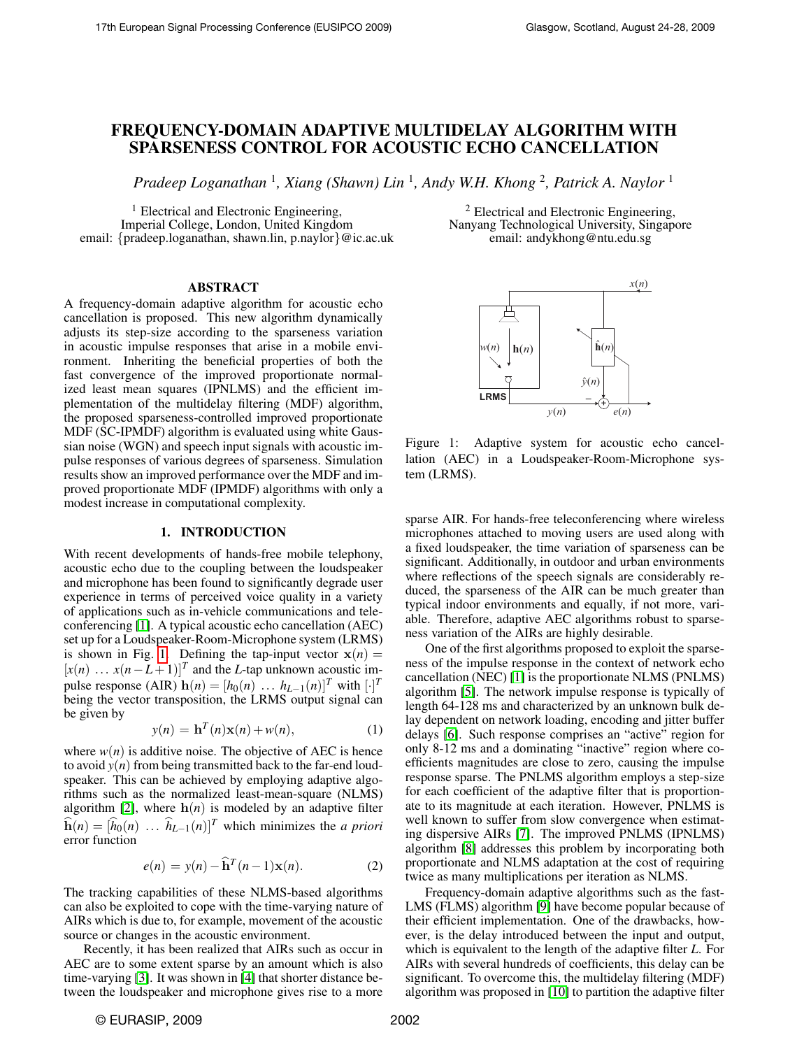# FREQUENCY-DOMAIN ADAPTIVE MULTIDELAY ALGORITHM WITH SPARSENESS CONTROL FOR ACOUSTIC ECHO CANCELLATION

*Pradeep Loganathan* <sup>1</sup> *, Xiang (Shawn) Lin* <sup>1</sup> *, Andy W.H. Khong* <sup>2</sup> *, Patrick A. Naylor* <sup>1</sup>

<sup>1</sup> Electrical and Electronic Engineering, Imperial College, London, United Kingdom email: {pradeep.loganathan, shawn.lin, p.naylor}@ic.ac.uk

## ABSTRACT

A frequency-domain adaptive algorithm for acoustic echo cancellation is proposed. This new algorithm dynamically adjusts its step-size according to the sparseness variation in acoustic impulse responses that arise in a mobile environment. Inheriting the beneficial properties of both the fast convergence of the improved proportionate normalized least mean squares (IPNLMS) and the efficient implementation of the multidelay filtering (MDF) algorithm, the proposed sparseness-controlled improved proportionate MDF (SC-IPMDF) algorithm is evaluated using white Gaussian noise (WGN) and speech input signals with acoustic impulse responses of various degrees of sparseness. Simulation results show an improved performance over the MDF and improved proportionate MDF (IPMDF) algorithms with only a modest increase in computational complexity.

#### 1. INTRODUCTION

With recent developments of hands-free mobile telephony, acoustic echo due to the coupling between the loudspeaker and microphone has been found to significantly degrade user experience in terms of perceived voice quality in a variety of applications such as in-vehicle communications and teleconferencing [\[1\]](#page-4-0). A typical acoustic echo cancellation (AEC) set up for a Loudspeaker-Room-Microphone system (LRMS) is shown in Fig. [1.](#page-0-0) Defining the tap-input vector  $\mathbf{x}(n) =$  $[x(n) \dots x(n-L+1)]^T$  and the *L*-tap unknown acoustic impulse response (AIR)  $h(n) = [h_0(n) \dots h_{L-1}(n)]^T$  with  $[\cdot]^T$ being the vector transposition, the LRMS output signal can be given by

$$
y(n) = \mathbf{h}^{T}(n)\mathbf{x}(n) + w(n),
$$
 (1)

where  $w(n)$  is additive noise. The objective of AEC is hence to avoid  $y(n)$  from being transmitted back to the far-end loudspeaker. This can be achieved by employing adaptive algorithms such as the normalized least-mean-square (NLMS) algorithm [\[2\]](#page-4-1), where  $h(n)$  is modeled by an adaptive filter  $\widehat{\mathbf{h}}(n) = [\widehat{h}_0(n) \dots \widehat{h}_{L-1}(n)]^T$  which minimizes the *a priori* error function

<span id="page-0-1"></span>
$$
e(n) = y(n) - \widehat{\mathbf{h}}^T(n-1)\mathbf{x}(n).
$$
 (2)

The tracking capabilities of these NLMS-based algorithms can also be exploited to cope with the time-varying nature of AIRs which is due to, for example, movement of the acoustic source or changes in the acoustic environment.

Recently, it has been realized that AIRs such as occur in AEC are to some extent sparse by an amount which is also time-varying [\[3\]](#page-4-2). It was shown in [\[4\]](#page-4-3) that shorter distance between the loudspeaker and microphone gives rise to a more

<sup>2</sup> Electrical and Electronic Engineering, Nanyang Technological University, Singapore email: andykhong@ntu.edu.sg



<span id="page-0-0"></span>Figure 1: Adaptive system for acoustic echo cancellation (AEC) in a Loudspeaker-Room-Microphone system (LRMS).

sparse AIR. For hands-free teleconferencing where wireless microphones attached to moving users are used along with a fixed loudspeaker, the time variation of sparseness can be significant. Additionally, in outdoor and urban environments where reflections of the speech signals are considerably reduced, the sparseness of the AIR can be much greater than typical indoor environments and equally, if not more, variable. Therefore, adaptive AEC algorithms robust to sparseness variation of the AIRs are highly desirable.

One of the first algorithms proposed to exploit the sparseness of the impulse response in the context of network echo cancellation (NEC) [\[1\]](#page-4-0) is the proportionate NLMS (PNLMS) algorithm [\[5\]](#page-4-4). The network impulse response is typically of length 64-128 ms and characterized by an unknown bulk delay dependent on network loading, encoding and jitter buffer delays [\[6\]](#page-4-5). Such response comprises an "active" region for only 8-12 ms and a dominating "inactive" region where coefficients magnitudes are close to zero, causing the impulse response sparse. The PNLMS algorithm employs a step-size for each coefficient of the adaptive filter that is proportionate to its magnitude at each iteration. However, PNLMS is well known to suffer from slow convergence when estimating dispersive AIRs [\[7\]](#page-4-6). The improved PNLMS (IPNLMS) algorithm [\[8\]](#page-4-7) addresses this problem by incorporating both proportionate and NLMS adaptation at the cost of requiring twice as many multiplications per iteration as NLMS.

Frequency-domain adaptive algorithms such as the fast-LMS (FLMS) algorithm [\[9\]](#page-4-8) have become popular because of their efficient implementation. One of the drawbacks, however, is the delay introduced between the input and output, which is equivalent to the length of the adaptive filter *L*. For AIRs with several hundreds of coefficients, this delay can be significant. To overcome this, the multidelay filtering (MDF) algorithm was proposed in [\[10\]](#page-4-9) to partition the adaptive filter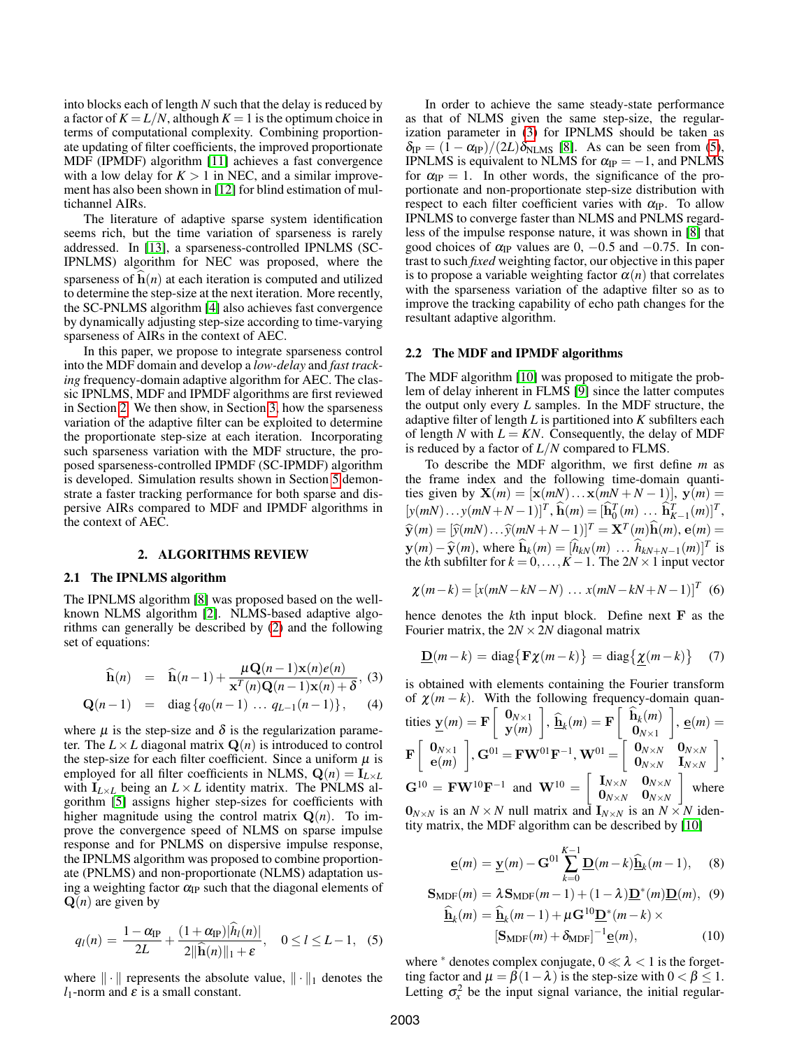into blocks each of length *N* such that the delay is reduced by a factor of  $K = L/N$ , although  $K = 1$  is the optimum choice in terms of computational complexity. Combining proportionate updating of filter coefficients, the improved proportionate MDF (IPMDF) algorithm [\[11\]](#page-4-10) achieves a fast convergence with a low delay for  $K > 1$  in NEC, and a similar improvement has also been shown in [\[12\]](#page-4-11) for blind estimation of multichannel AIRs.

The literature of adaptive sparse system identification seems rich, but the time variation of sparseness is rarely addressed. In [\[13\]](#page-4-12), a sparseness-controlled IPNLMS (SC-IPNLMS) algorithm for NEC was proposed, where the sparseness of  $h(n)$  at each iteration is computed and utilized to determine the step-size at the next iteration. More recently, the SC-PNLMS algorithm [\[4\]](#page-4-3) also achieves fast convergence by dynamically adjusting step-size according to time-varying sparseness of AIRs in the context of AEC.

In this paper, we propose to integrate sparseness control into the MDF domain and develop a *low-delay* and *fast tracking* frequency-domain adaptive algorithm for AEC. The classic IPNLMS, MDF and IPMDF algorithms are first reviewed in Section [2.](#page-1-0) We then show, in Section [3,](#page-2-0) how the sparseness variation of the adaptive filter can be exploited to determine the proportionate step-size at each iteration. Incorporating such sparseness variation with the MDF structure, the proposed sparseness-controlled IPMDF (SC-IPMDF) algorithm is developed. Simulation results shown in Section [5](#page-3-0) demonstrate a faster tracking performance for both sparse and dispersive AIRs compared to MDF and IPMDF algorithms in the context of AEC.

#### 2. ALGORITHMS REVIEW

#### <span id="page-1-0"></span>2.1 The IPNLMS algorithm

The IPNLMS algorithm [\[8\]](#page-4-7) was proposed based on the wellknown NLMS algorithm [\[2\]](#page-4-1). NLMS-based adaptive algorithms can generally be described by [\(2\)](#page-0-1) and the following set of equations:

<span id="page-1-1"></span>
$$
\widehat{\mathbf{h}}(n) = \widehat{\mathbf{h}}(n-1) + \frac{\mu \mathbf{Q}(n-1) \mathbf{x}(n) e(n)}{\mathbf{x}^T(n) \mathbf{Q}(n-1) \mathbf{x}(n) + \delta}, \quad (3)
$$

$$
\mathbf{Q}(n-1) = \text{diag}\left\{q_0(n-1)\dots q_{L-1}(n-1)\right\},\qquad(4)
$$

where  $\mu$  is the step-size and  $\delta$  is the regularization parameter. The  $L \times L$  diagonal matrix  $\mathbf{Q}(n)$  is introduced to control the step-size for each filter coefficient. Since a uniform  $\mu$  is employed for all filter coefficients in NLMS,  $Q(n) = I_{L \times L}$ with  $I_{L\times L}$  being an  $L\times L$  identity matrix. The PNLMS algorithm [\[5\]](#page-4-4) assigns higher step-sizes for coefficients with higher magnitude using the control matrix  $Q(n)$ . To improve the convergence speed of NLMS on sparse impulse response and for PNLMS on dispersive impulse response, the IPNLMS algorithm was proposed to combine proportionate (PNLMS) and non-proportionate (NLMS) adaptation using a weighting factor  $\alpha_{IP}$  such that the diagonal elements of  $Q(n)$  are given by

<span id="page-1-2"></span>
$$
q_l(n) = \frac{1 - \alpha_{\text{IP}}}{2L} + \frac{(1 + \alpha_{\text{IP}})|h_l(n)|}{2||\widehat{\mathbf{h}}(n)||_1 + \varepsilon}, \quad 0 \le l \le L - 1, \quad (5)
$$

where  $\|\cdot\|$  represents the absolute value,  $\|\cdot\|_1$  denotes the  $l_1$ -norm and  $\varepsilon$  is a small constant.

In order to achieve the same steady-state performance as that of NLMS given the same step-size, the regularization parameter in [\(3\)](#page-1-1) for IPNLMS should be taken as  $\delta_{\text{IP}} = (1 - \alpha_{\text{IP}})/(2L)\delta_{\text{NLMS}}$  [\[8\]](#page-4-7). As can be seen from [\(5\)](#page-1-2), IPNLMS is equivalent to NLMS for  $\alpha_{IP} = -1$ , and PNLMS for  $\alpha_{IP} = 1$ . In other words, the significance of the proportionate and non-proportionate step-size distribution with respect to each filter coefficient varies with  $\alpha_{IP}$ . To allow IPNLMS to converge faster than NLMS and PNLMS regardless of the impulse response nature, it was shown in [\[8\]](#page-4-7) that good choices of  $\alpha_{IP}$  values are 0, -0.5 and -0.75. In contrast to such *fixed* weighting factor, our objective in this paper is to propose a variable weighting factor  $\alpha(n)$  that correlates with the sparseness variation of the adaptive filter so as to improve the tracking capability of echo path changes for the resultant adaptive algorithm.

#### 2.2 The MDF and IPMDF algorithms

The MDF algorithm [\[10\]](#page-4-9) was proposed to mitigate the problem of delay inherent in FLMS [\[9\]](#page-4-8) since the latter computes the output only every *L* samples. In the MDF structure, the adaptive filter of length *L* is partitioned into *K* subfilters each of length *N* with  $L = KN$ . Consequently, the delay of MDF is reduced by a factor of *L*/*N* compared to FLMS.

To describe the MDF algorithm, we first define *m* as the frame index and the following time-domain quantities given by  $\mathbf{X}(m) = [\mathbf{x}(mN) \dots \mathbf{x}(mN+N-1)], \mathbf{y}(m) =$  $[y(mN)...y(mN+N-1)]^T$ ,  $\hat{\mathbf{h}}(m) = [\hat{\mathbf{h}}_0^T(m)... \hat{\mathbf{h}}_{K-1}^T(m)]^T$ ,  $\hat{\mathbf{y}}(m) = [\hat{y}(mN) \dots \hat{y}(mN + N - 1)]^T = \mathbf{X}^T(m)\hat{\mathbf{h}}(m), \mathbf{e}(m) =$  $\mathbf{y}(m) - \mathbf{\widehat{y}}(m)$ , where  $\mathbf{\widehat{h}}_k(m) = [\mathbf{\widehat{h}}_{kN}(m) \dots \mathbf{\widehat{h}}_{kN+N-1}(m)]^T$  is<br>the *k*th subfilter for  $k = 0$   $K = 1$ . The 2N × 1 input vector the *k*th subfilter for  $k = 0, ..., K - 1$ . The  $2N \times 1$  input vector

$$
\chi(m-k) = [x(mN-kN-N) \dots x(mN-kN+N-1)]^{T}
$$
 (6)

hence denotes the *k*th input block. Define next F as the Fourier matrix, the  $2N \times 2N$  diagonal matrix

$$
\underline{\mathbf{D}}(m-k) = \text{diag}\{\mathbf{F}\chi(m-k)\} = \text{diag}\{\underline{\chi}(m-k)\} \quad (7)
$$

is obtained with elements containing the Fourier transform of  $\chi(m-k)$ . With the following frequency-domain quantities  $\underline{\mathbf{y}}(m) = \mathbf{F} \begin{bmatrix} \mathbf{0}_{N \times 1} \\ \mathbf{y}(m) \end{bmatrix}$  $\begin{bmatrix} \hat{\mathbf{h}}_k(m) = \mathbf{F} \begin{bmatrix} \hat{\mathbf{h}}_k(m) \ \mathbf{0}_{N \times 1} \end{bmatrix}$  $\mathbf{0}_{N\times1}$  $\Big]$ ,  $\underline{\mathbf{e}}(m) =$  $\mathbf{F}\left[\begin{array}{c} \mathbf{0}_{N\times 1} \ \mathbf{e}(m) \end{array}\right]$  $\begin{bmatrix} \end{bmatrix}$ ,  $\mathbf{G}^{01} = \mathbf{F} \mathbf{W}^{01} \mathbf{F}^{-1}$ ,  $\mathbf{W}^{01} = \begin{bmatrix} \mathbf{0}_{N \times N} & \mathbf{0}_{N \times N} \\ \mathbf{0}_{N \times N} & \mathbf{I}_{N \times N} \end{bmatrix}$  $\mathbf{0}_{N\times N}$   $\mathbf{I}_{N\times N}$  ,  $\mathbf{G}^{10} = \mathbf{F} \mathbf{W}^{10} \mathbf{F}^{-1}$  and  $\mathbf{W}^{10} = \begin{bmatrix} \mathbf{I}_{N \times N} & \mathbf{0}_{N \times N} \\ \mathbf{0}_{N \times N} & \mathbf{0}_{N \times N} \end{bmatrix}$  $\mathbf{0}_{N\times N}$   $\mathbf{0}_{N\times N}$  $\vert$  where  $\mathbf{0}_{N \times N}$  is an  $N \times N$  null matrix and  $\mathbf{I}_{N \times N}$  is an  $N \times N$  identity matrix, the MDF algorithm can be described by [\[10\]](#page-4-9)

<span id="page-1-3"></span>
$$
\underline{\mathbf{e}}(m) = \underline{\mathbf{y}}(m) - \mathbf{G}^{01} \sum_{k=0}^{K-1} \underline{\mathbf{D}}(m-k) \underline{\hat{\mathbf{h}}}_k(m-1), \quad (8)
$$

$$
\mathbf{S}_{\text{MDF}}(m) = \lambda \mathbf{S}_{\text{MDF}}(m-1) + (1 - \lambda) \underline{\mathbf{D}}^*(m) \underline{\mathbf{D}}(m), \quad (9)
$$

$$
\underline{\hat{\mathbf{h}}}_{k}(m) = \underline{\hat{\mathbf{h}}}_{k}(m-1) + \mu \mathbf{G}^{10} \underline{\mathbf{D}}^{*}(m-k) \times
$$
\n
$$
[\mathbf{S}_{\text{MDF}}(m) + \delta_{\text{MDF}}]^{-1} \underline{\mathbf{e}}(m), \qquad (10)
$$

where  $*$  denotes complex conjugate,  $0 \ll \lambda < 1$  is the forgetting factor and  $\mu = \beta(1 - \lambda)$  is the step-size with  $0 < \beta \leq 1$ . Letting  $\sigma_x^2$  be the input signal variance, the initial regular-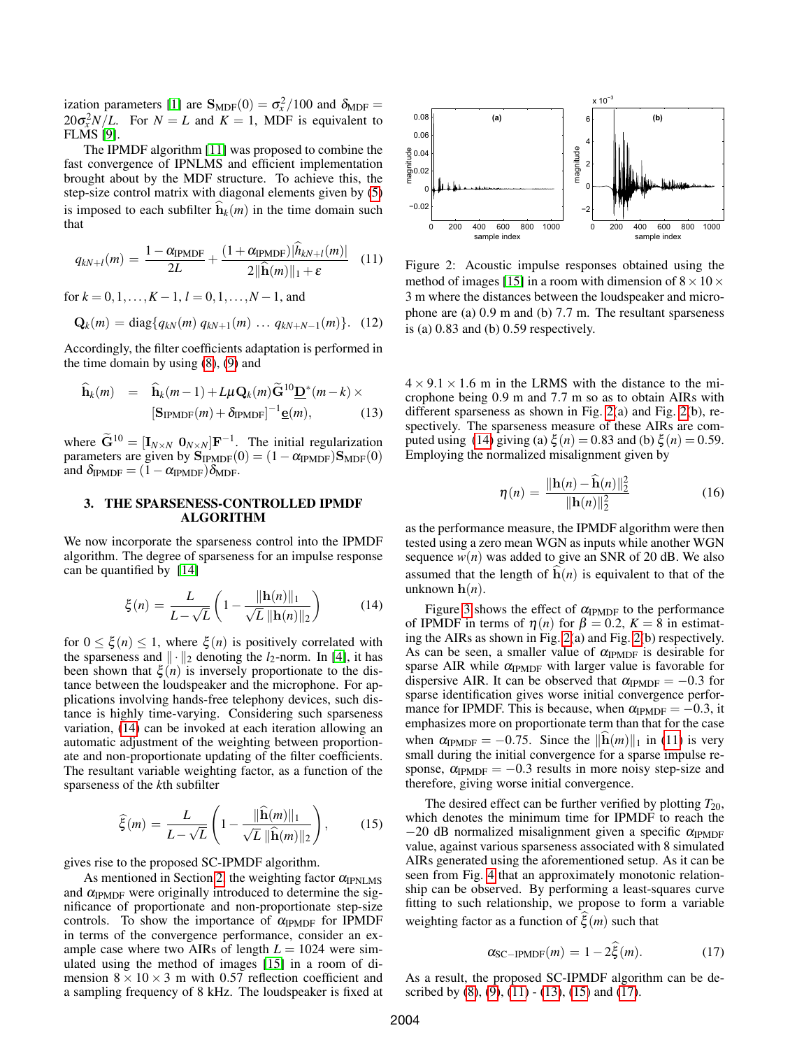ization parameters [\[1\]](#page-4-0) are  $S_{MDF}(0) = \sigma_x^2/100$  and  $\delta_{MDF} =$  $20\sigma_x^2 N/L$ . For  $N = L$  and  $K = 1$ , MDF is equivalent to FLMS [\[9\]](#page-4-8).

The IPMDF algorithm [\[11\]](#page-4-10) was proposed to combine the fast convergence of IPNLMS and efficient implementation brought about by the MDF structure. To achieve this, the step-size control matrix with diagonal elements given by [\(5\)](#page-1-2) is imposed to each subfilter  $h_k(m)$  in the time domain such that

<span id="page-2-3"></span>
$$
q_{kN+l}(m) = \frac{1 - \alpha_{\text{IPMDF}}}{2L} + \frac{(1 + \alpha_{\text{IPMDF}})|h_{kN+l}(m)|}{2||\widehat{\mathbf{h}}(m)||_1 + \varepsilon} \quad (11)
$$

for  $k = 0, 1, \ldots, K - 1, l = 0, 1, \ldots, N - 1$ , and

$$
\mathbf{Q}_k(m) = \text{diag}\{q_{kN}(m) \ q_{kN+1}(m) \ \dots \ q_{kN+N-1}(m)\}. \tag{12}
$$

Accordingly, the filter coefficients adaptation is performed in the time domain by using  $(8)$ ,  $(9)$  and

<span id="page-2-4"></span>
$$
\widehat{\mathbf{h}}_k(m) = \widehat{\mathbf{h}}_k(m-1) + L\mu \mathbf{Q}_k(m) \widetilde{\mathbf{G}}^{10} \underline{\mathbf{D}}^*(m-k) \times
$$
\n
$$
[\mathbf{S}_{\text{IPMDF}}(m) + \delta_{\text{IPMDF}}]^{-1} \underline{\mathbf{e}}(m), \tag{13}
$$

where  $\tilde{G}^{10} = [\mathbf{I}_{N \times N} \ \mathbf{0}_{N \times N}] \mathbf{F}^{-1}$ . The initial regularization parameters are given by  $S_{IPMDF}(0) = (1 - \alpha_{IPMDF})S_{MDF}(0)$ and  $\delta_{IPMDF} = (1 - \alpha_{IPMDF})\delta_{MDF}$ .

## <span id="page-2-0"></span>3. THE SPARSENESS-CONTROLLED IPMDF ALGORITHM

We now incorporate the sparseness control into the IPMDF algorithm. The degree of sparseness for an impulse response can be quantified by [\[14\]](#page-4-13)

<span id="page-2-1"></span>
$$
\xi(n) = \frac{L}{L - \sqrt{L}} \left( 1 - \frac{\|\mathbf{h}(n)\|_1}{\sqrt{L} \|\mathbf{h}(n)\|_2} \right) \tag{14}
$$

for  $0 \leq \xi(n) \leq 1$ , where  $\xi(n)$  is positively correlated with the sparseness and  $\|\cdot\|_2$  denoting the *l*<sub>2</sub>-norm. In [\[4\]](#page-4-3), it has been shown that  $\xi(n)$  is inversely proportionate to the distance between the loudspeaker and the microphone. For applications involving hands-free telephony devices, such distance is highly time-varying. Considering such sparseness variation, [\(14\)](#page-2-1) can be invoked at each iteration allowing an automatic adjustment of the weighting between proportionate and non-proportionate updating of the filter coefficients. The resultant variable weighting factor, as a function of the sparseness of the *k*th subfilter

<span id="page-2-5"></span>
$$
\widehat{\xi}(m) = \frac{L}{L - \sqrt{L}} \left( 1 - \frac{\|\widehat{\mathbf{h}}(m)\|_1}{\sqrt{L} \|\widehat{\mathbf{h}}(m)\|_2} \right),\tag{15}
$$

gives rise to the proposed SC-IPMDF algorithm.

As mentioned in Section [2,](#page-1-0) the weighting factor  $\alpha_{IPNLMS}$ and  $\alpha_{IPMDF}$  were originally introduced to determine the significance of proportionate and non-proportionate step-size controls. To show the importance of  $\alpha_{IPMDF}$  for IPMDF in terms of the convergence performance, consider an example case where two AIRs of length  $L = 1024$  were simulated using the method of images [\[15\]](#page-4-14) in a room of dimension  $8 \times 10 \times 3$  m with 0.57 reflection coefficient and a sampling frequency of 8 kHz. The loudspeaker is fixed at



<span id="page-2-2"></span>Figure 2: Acoustic impulse responses obtained using the method of images [\[15\]](#page-4-14) in a room with dimension of  $8 \times 10 \times$ 3 m where the distances between the loudspeaker and microphone are (a) 0.9 m and (b) 7.7 m. The resultant sparseness is (a) 0.83 and (b) 0.59 respectively.

 $4 \times 9.1 \times 1.6$  m in the LRMS with the distance to the microphone being 0.9 m and 7.7 m so as to obtain AIRs with different sparseness as shown in Fig. [2\(](#page-2-2)a) and Fig. [2\(](#page-2-2)b), respectively. The sparseness measure of these AIRs are com-puted using [\(14\)](#page-2-1) giving (a)  $\xi(n) = 0.83$  and (b)  $\xi(n) = 0.59$ . Employing the normalized misalignment given by

<span id="page-2-7"></span>
$$
\eta(n) = \frac{\|\mathbf{h}(n) - \mathbf{\hat{h}}(n)\|_2^2}{\|\mathbf{h}(n)\|_2^2}
$$
(16)

as the performance measure, the IPMDF algorithm were then tested using a zero mean WGN as inputs while another WGN sequence  $w(n)$  was added to give an SNR of 20 dB. We also assumed that the length of  $\hat{\mathbf{h}}(n)$  is equivalent to that of the unknown  $h(n)$ .

Figure [3](#page-3-1) shows the effect of  $\alpha_{IPMDF}$  to the performance of IPMDF in terms of  $\eta(n)$  for  $\beta = 0.2$ ,  $K = 8$  in estimating the AIRs as shown in Fig. [2\(](#page-2-2)a) and Fig. [2\(](#page-2-2)b) respectively. As can be seen, a smaller value of  $\alpha_{IPMDF}$  is desirable for sparse AIR while  $\alpha_{IPMDF}$  with larger value is favorable for dispersive AIR. It can be observed that  $\alpha_{\text{IPMDF}} = -0.3$  for sparse identification gives worse initial convergence performance for IPMDF. This is because, when  $\alpha_{\text{IPMDF}} = -0.3$ , it emphasizes more on proportionate term than that for the case when  $\alpha_{IPMDF} = -0.75$ . Since the  $\|\mathbf{h}(m)\|_1$  in [\(11\)](#page-2-3) is very small during the initial convergence for a sparse impulse response,  $\alpha_{IPMDF} = -0.3$  results in more noisy step-size and therefore, giving worse initial convergence.

The desired effect can be further verified by plotting  $T_{20}$ , which denotes the minimum time for IPMDF to reach the −20 dB normalized misalignment given a specific  $\alpha_{IPMDF}$ value, against various sparseness associated with 8 simulated AIRs generated using the aforementioned setup. As it can be seen from Fig. [4](#page-3-2) that an approximately monotonic relationship can be observed. By performing a least-squares curve fitting to such relationship, we propose to form a variable weighting factor as a function of  $\xi$  (*m*) such that

<span id="page-2-6"></span>
$$
\alpha_{\text{SC-IPMDF}}(m) = 1 - 2\xi(m). \tag{17}
$$

As a result, the proposed SC-IPMDF algorithm can be described by  $(8)$ ,  $(9)$ ,  $(11)$  -  $(13)$ ,  $(15)$  and  $(17)$ .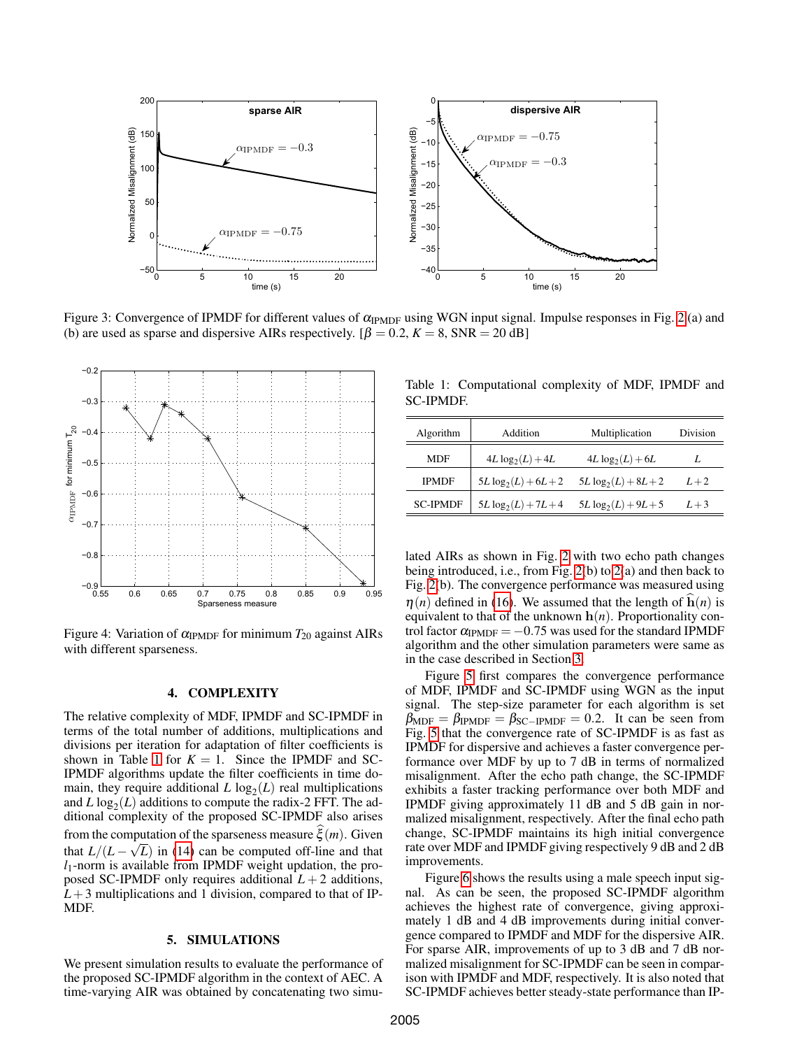

<span id="page-3-1"></span>Figure 3: Convergence of IPMDF for different values of  $\alpha_{\text{IPMDF}}$  using WGN input signal. Impulse responses in Fig. [2](#page-2-2) (a) and (b) are used as sparse and dispersive AIRs respectively.  $[\beta = 0.2, K = 8, SNR = 20$  dB]



<span id="page-3-2"></span>Figure 4: Variation of  $\alpha_{IPMDF}$  for minimum  $T_{20}$  against AIRs with different sparseness.

## 4. COMPLEXITY

The relative complexity of MDF, IPMDF and SC-IPMDF in terms of the total number of additions, multiplications and divisions per iteration for adaptation of filter coefficients is shown in Table [1](#page-3-3) for  $K = 1$ . Since the IPMDF and SC-IPMDF algorithms update the filter coefficients in time domain, they require additional  $L \log_2(L)$  real multiplications and  $L \log_2(L)$  additions to compute the radix-2 FFT. The additional complexity of the proposed SC-IPMDF also arises from the computation of the sparseness measure  $\xi$  (*m*). Given that  $L/(L-\sqrt{L})$  in [\(14\)](#page-2-1) can be computed off-line and that *l*1-norm is available from IPMDF weight updation, the proposed SC-IPMDF only requires additional  $L + 2$  additions,  $L+3$  multiplications and 1 division, compared to that of IP-MDF.

#### 5. SIMULATIONS

<span id="page-3-0"></span>We present simulation results to evaluate the performance of the proposed SC-IPMDF algorithm in the context of AEC. A time-varying AIR was obtained by concatenating two simu-

<span id="page-3-3"></span>Table 1: Computational complexity of MDF, IPMDF and SC-IPMDF.

| Algorithm       | Addition                | Multiplication          | Division |
|-----------------|-------------------------|-------------------------|----------|
| MDF             | $4L \log_2(L) + 4L$     | $4L \log_2(L) + 6L$     | L        |
| <b>IPMDF</b>    | $5L \log_2(L) + 6L + 2$ | $5L \log_2(L) + 8L + 2$ | $L+2$    |
| <b>SC-IPMDF</b> | $5L \log_2(L) + 7L + 4$ | $5L \log_2(L) + 9L + 5$ | $L+3$    |

lated AIRs as shown in Fig. [2](#page-2-2) with two echo path changes being introduced, i.e., from Fig. [2\(](#page-2-2)b) to [2\(](#page-2-2)a) and then back to Fig. [2\(](#page-2-2)b). The convergence performance was measured using  $\eta(n)$  defined in [\(16\)](#page-2-7). We assumed that the length of  $h(n)$  is equivalent to that of the unknown  $h(n)$ . Proportionality control factor  $\alpha_{\text{IPMDF}} = -0.75$  was used for the standard IPMDF algorithm and the other simulation parameters were same as in the case described in Section [3.](#page-2-0)

Figure [5](#page-4-15) first compares the convergence performance of MDF, IPMDF and SC-IPMDF using WGN as the input signal. The step-size parameter for each algorithm is set  $\beta_{\text{MDF}} = \beta_{\text{IPMDF}} = \beta_{\text{SC-IPMDF}} = 0.2$ . It can be seen from Fig. [5](#page-4-15) that the convergence rate of SC-IPMDF is as fast as IPMDF for dispersive and achieves a faster convergence performance over MDF by up to 7 dB in terms of normalized misalignment. After the echo path change, the SC-IPMDF exhibits a faster tracking performance over both MDF and IPMDF giving approximately 11 dB and 5 dB gain in normalized misalignment, respectively. After the final echo path change, SC-IPMDF maintains its high initial convergence rate over MDF and IPMDF giving respectively 9 dB and 2 dB improvements.

Figure [6](#page-4-16) shows the results using a male speech input signal. As can be seen, the proposed SC-IPMDF algorithm achieves the highest rate of convergence, giving approximately 1 dB and 4 dB improvements during initial convergence compared to IPMDF and MDF for the dispersive AIR. For sparse AIR, improvements of up to 3 dB and 7 dB normalized misalignment for SC-IPMDF can be seen in comparison with IPMDF and MDF, respectively. It is also noted that SC-IPMDF achieves better steady-state performance than IP-